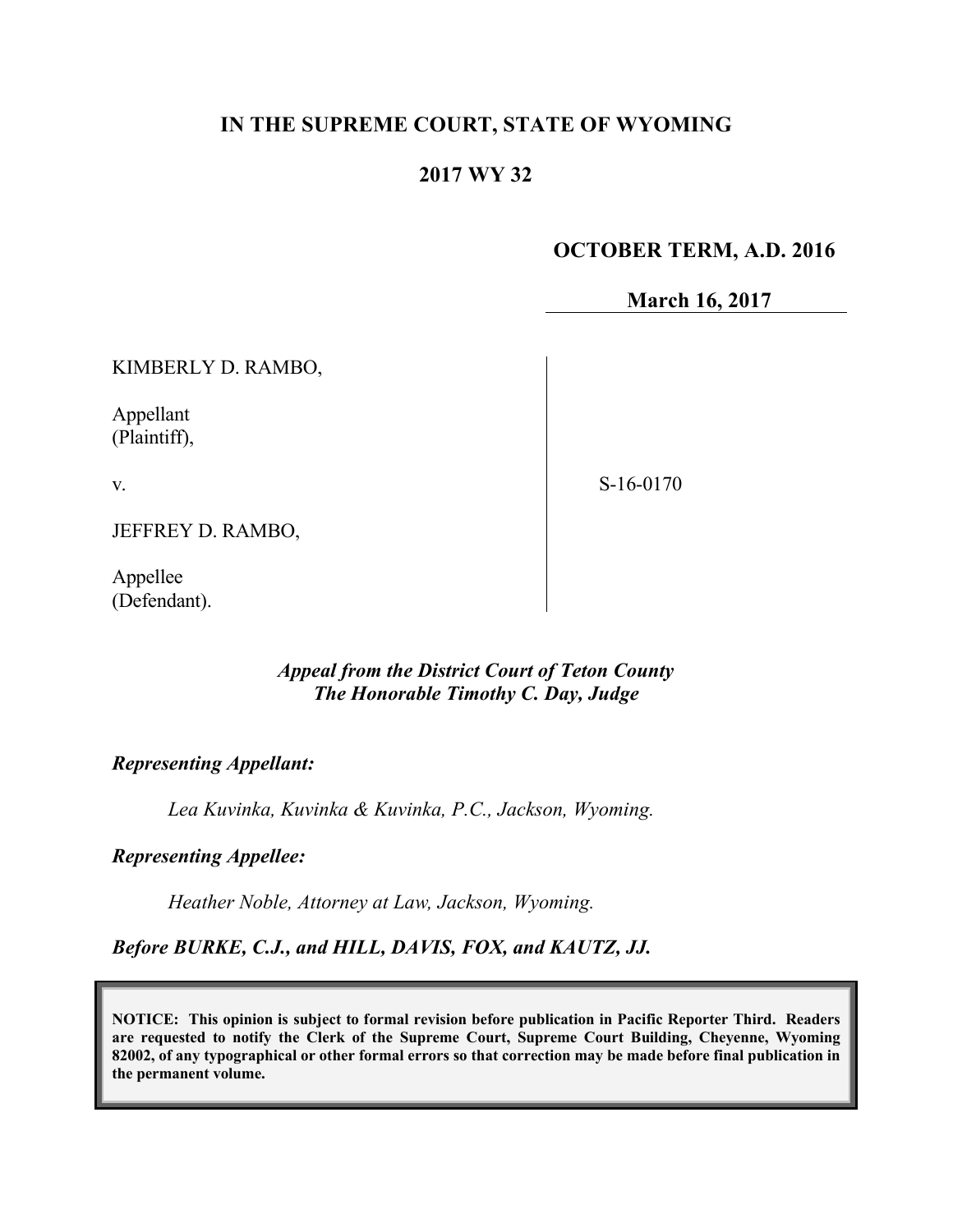# **IN THE SUPREME COURT, STATE OF WYOMING**

# **2017 WY 32**

# **OCTOBER TERM, A.D. 2016**

## **March 16, 2017**

KIMBERLY D. RAMBO,

Appellant (Plaintiff),

v.

S-16-0170

JEFFREY D. RAMBO,

Appellee (Defendant).

## *Appeal from the District Court of Teton County The Honorable Timothy C. Day, Judge*

*Representing Appellant:*

*Lea Kuvinka, Kuvinka & Kuvinka, P.C., Jackson, Wyoming.*

#### *Representing Appellee:*

*Heather Noble, Attorney at Law, Jackson, Wyoming.*

*Before BURKE, C.J., and HILL, DAVIS, FOX, and KAUTZ, JJ.*

**NOTICE: This opinion is subject to formal revision before publication in Pacific Reporter Third. Readers are requested to notify the Clerk of the Supreme Court, Supreme Court Building, Cheyenne, Wyoming 82002, of any typographical or other formal errors so that correction may be made before final publication in the permanent volume.**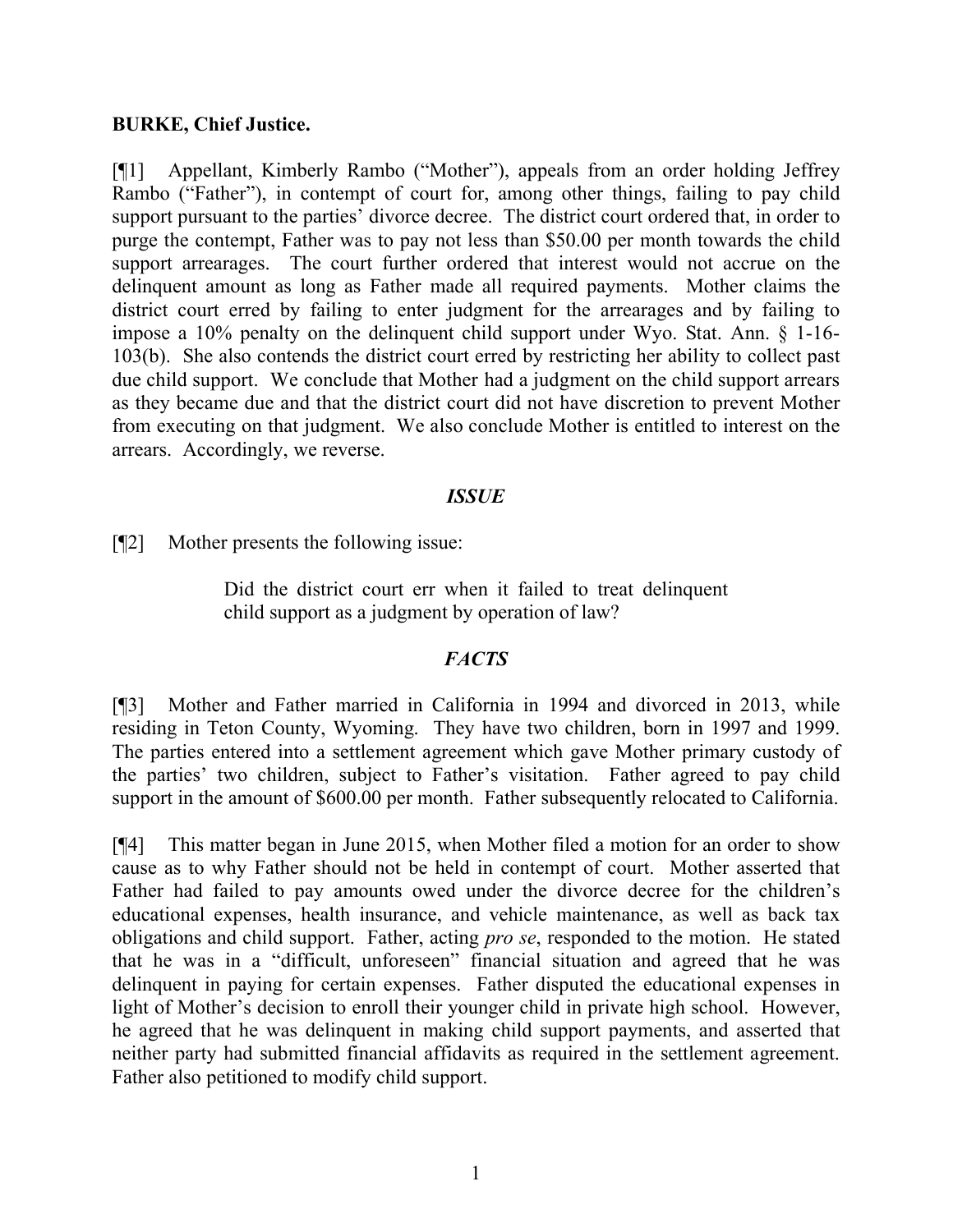### **BURKE, Chief Justice.**

[¶1] Appellant, Kimberly Rambo ("Mother"), appeals from an order holding Jeffrey Rambo ("Father"), in contempt of court for, among other things, failing to pay child support pursuant to the parties' divorce decree. The district court ordered that, in order to purge the contempt, Father was to pay not less than \$50.00 per month towards the child support arrearages. The court further ordered that interest would not accrue on the delinquent amount as long as Father made all required payments. Mother claims the district court erred by failing to enter judgment for the arrearages and by failing to impose a 10% penalty on the delinquent child support under Wyo. Stat. Ann. § 1-16- 103(b). She also contends the district court erred by restricting her ability to collect past due child support. We conclude that Mother had a judgment on the child support arrears as they became due and that the district court did not have discretion to prevent Mother from executing on that judgment. We also conclude Mother is entitled to interest on the arrears. Accordingly, we reverse.

## *ISSUE*

[¶2] Mother presents the following issue:

Did the district court err when it failed to treat delinquent child support as a judgment by operation of law?

## *FACTS*

[¶3] Mother and Father married in California in 1994 and divorced in 2013, while residing in Teton County, Wyoming. They have two children, born in 1997 and 1999. The parties entered into a settlement agreement which gave Mother primary custody of the parties' two children, subject to Father's visitation. Father agreed to pay child support in the amount of \$600.00 per month. Father subsequently relocated to California.

[¶4] This matter began in June 2015, when Mother filed a motion for an order to show cause as to why Father should not be held in contempt of court. Mother asserted that Father had failed to pay amounts owed under the divorce decree for the children's educational expenses, health insurance, and vehicle maintenance, as well as back tax obligations and child support. Father, acting *pro se*, responded to the motion. He stated that he was in a "difficult, unforeseen" financial situation and agreed that he was delinquent in paying for certain expenses. Father disputed the educational expenses in light of Mother's decision to enroll their younger child in private high school. However, he agreed that he was delinquent in making child support payments, and asserted that neither party had submitted financial affidavits as required in the settlement agreement. Father also petitioned to modify child support.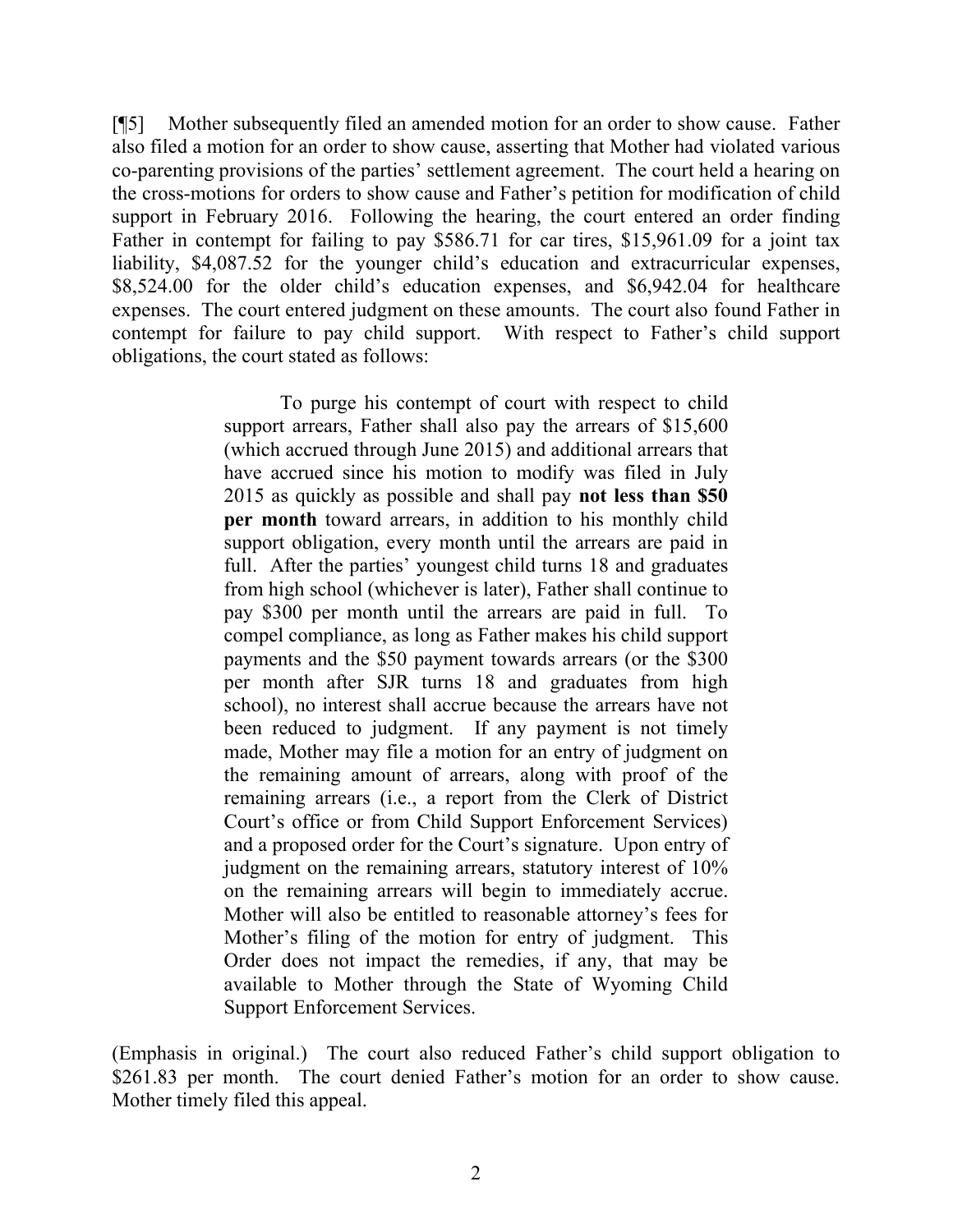[¶5] Mother subsequently filed an amended motion for an order to show cause. Father also filed a motion for an order to show cause, asserting that Mother had violated various co-parenting provisions of the parties' settlement agreement. The court held a hearing on the cross-motions for orders to show cause and Father's petition for modification of child support in February 2016. Following the hearing, the court entered an order finding Father in contempt for failing to pay \$586.71 for car tires, \$15,961.09 for a joint tax liability, \$4,087.52 for the younger child's education and extracurricular expenses, \$8,524.00 for the older child's education expenses, and \$6,942.04 for healthcare expenses. The court entered judgment on these amounts. The court also found Father in contempt for failure to pay child support. With respect to Father's child support obligations, the court stated as follows:

> To purge his contempt of court with respect to child support arrears, Father shall also pay the arrears of \$15,600 (which accrued through June 2015) and additional arrears that have accrued since his motion to modify was filed in July 2015 as quickly as possible and shall pay **not less than \$50 per month** toward arrears, in addition to his monthly child support obligation, every month until the arrears are paid in full. After the parties' youngest child turns 18 and graduates from high school (whichever is later), Father shall continue to pay \$300 per month until the arrears are paid in full. To compel compliance, as long as Father makes his child support payments and the \$50 payment towards arrears (or the \$300 per month after SJR turns 18 and graduates from high school), no interest shall accrue because the arrears have not been reduced to judgment. If any payment is not timely made, Mother may file a motion for an entry of judgment on the remaining amount of arrears, along with proof of the remaining arrears (i.e., a report from the Clerk of District Court's office or from Child Support Enforcement Services) and a proposed order for the Court's signature. Upon entry of judgment on the remaining arrears, statutory interest of 10% on the remaining arrears will begin to immediately accrue. Mother will also be entitled to reasonable attorney's fees for Mother's filing of the motion for entry of judgment. This Order does not impact the remedies, if any, that may be available to Mother through the State of Wyoming Child Support Enforcement Services.

(Emphasis in original.) The court also reduced Father's child support obligation to \$261.83 per month. The court denied Father's motion for an order to show cause. Mother timely filed this appeal.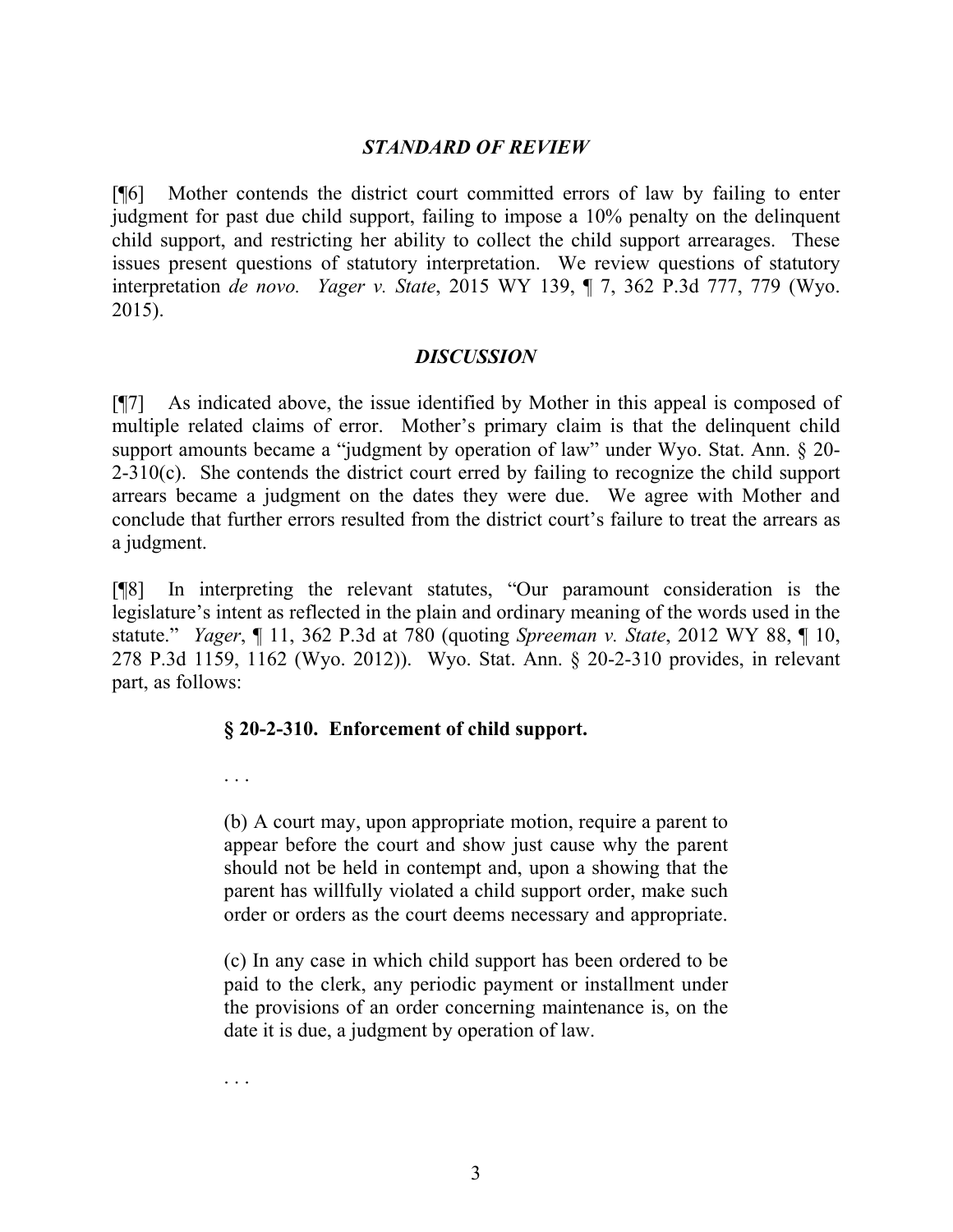### *STANDARD OF REVIEW*

[¶6] Mother contends the district court committed errors of law by failing to enter judgment for past due child support, failing to impose a 10% penalty on the delinquent child support, and restricting her ability to collect the child support arrearages. These issues present questions of statutory interpretation. We review questions of statutory interpretation *de novo. Yager v. State*, 2015 WY 139, ¶ 7, 362 P.3d 777, 779 (Wyo. 2015).

#### *DISCUSSION*

[¶7] As indicated above, the issue identified by Mother in this appeal is composed of multiple related claims of error. Mother's primary claim is that the delinquent child support amounts became a "judgment by operation of law" under Wyo. Stat. Ann. § 20-  $2-310(c)$ . She contends the district court erred by failing to recognize the child support arrears became a judgment on the dates they were due. We agree with Mother and conclude that further errors resulted from the district court's failure to treat the arrears as a judgment.

[¶8] In interpreting the relevant statutes, "Our paramount consideration is the legislature's intent as reflected in the plain and ordinary meaning of the words used in the statute." *Yager*, ¶ 11, 362 P.3d at 780 (quoting *Spreeman v. State*, 2012 WY 88, ¶ 10, 278 P.3d 1159, 1162 (Wyo. 2012)). Wyo. Stat. Ann. § 20-2-310 provides, in relevant part, as follows:

#### **§ 20-2-310. Enforcement of child support.**

. . .

(b) A court may, upon appropriate motion, require a parent to appear before the court and show just cause why the parent should not be held in contempt and, upon a showing that the parent has willfully violated a child support order, make such order or orders as the court deems necessary and appropriate.

(c) In any case in which child support has been ordered to be paid to the clerk, any periodic payment or installment under the provisions of an order concerning maintenance is, on the date it is due, a judgment by operation of law.

. . .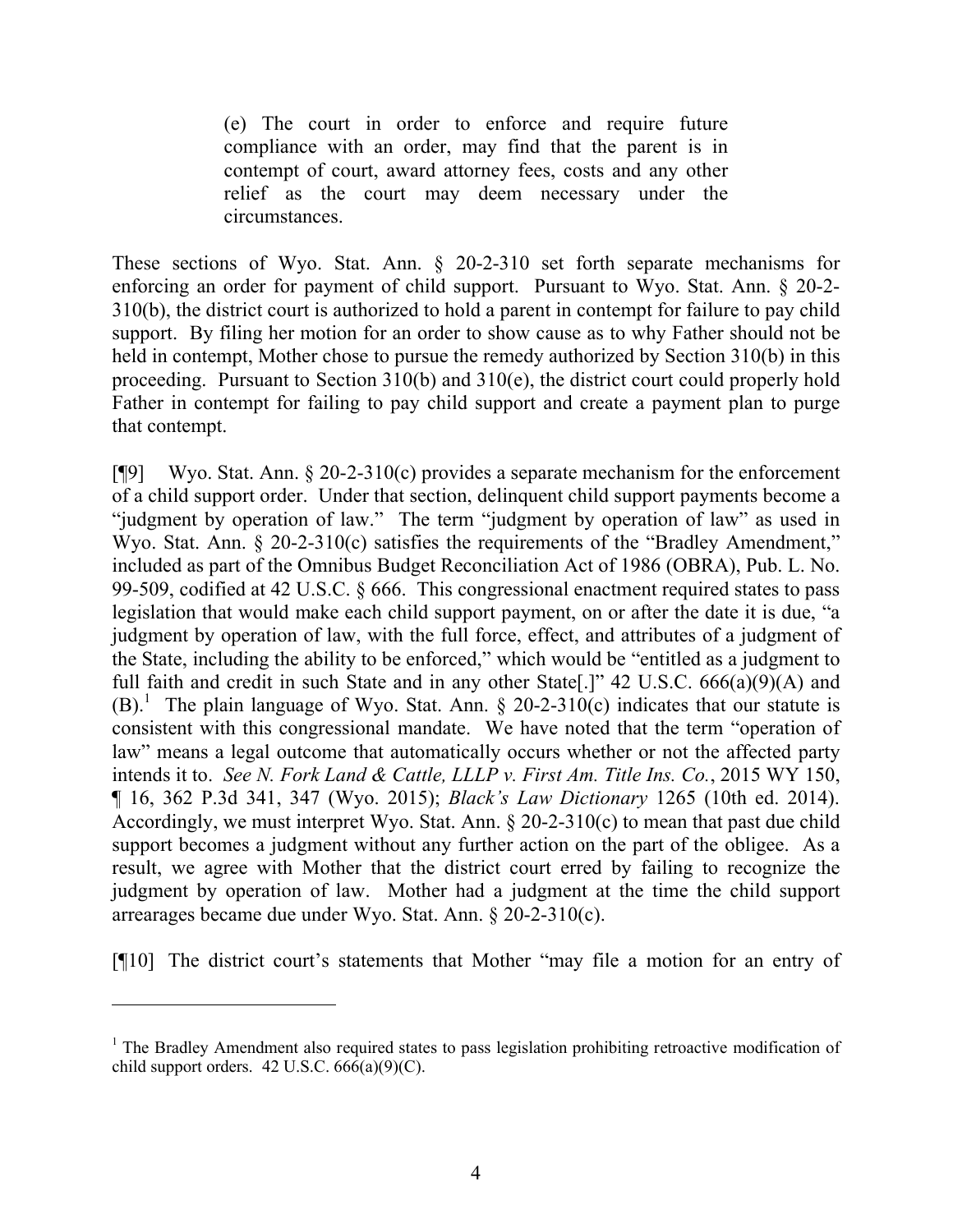(e) The court in order to enforce and require future compliance with an order, may find that the parent is in contempt of court, award attorney fees, costs and any other relief as the court may deem necessary under the circumstances.

These sections of Wyo. Stat. Ann. § 20-2-310 set forth separate mechanisms for enforcing an order for payment of child support. Pursuant to Wyo. Stat. Ann. § 20-2- 310(b), the district court is authorized to hold a parent in contempt for failure to pay child support. By filing her motion for an order to show cause as to why Father should not be held in contempt, Mother chose to pursue the remedy authorized by Section 310(b) in this proceeding. Pursuant to Section 310(b) and 310(e), the district court could properly hold Father in contempt for failing to pay child support and create a payment plan to purge that contempt.

[ $[$ [9] Wyo. Stat. Ann. § 20-2-310(c) provides a separate mechanism for the enforcement of a child support order. Under that section, delinquent child support payments become a "judgment by operation of law." The term "judgment by operation of law" as used in Wyo. Stat. Ann. § 20-2-310(c) satisfies the requirements of the "Bradley Amendment," included as part of the Omnibus Budget Reconciliation Act of 1986 (OBRA), Pub. L. No. 99-509, codified at 42 U.S.C. § 666. This congressional enactment required states to pass legislation that would make each child support payment, on or after the date it is due, "a judgment by operation of law, with the full force, effect, and attributes of a judgment of the State, including the ability to be enforced," which would be "entitled as a judgment to full faith and credit in such State and in any other State[.]"  $42 \text{ U.S.C. } 666(a)(9)(\text{A})$  and  $(B)$ .<sup>1</sup> The plain language of Wyo. Stat. Ann. § 20-2-310(c) indicates that our statute is consistent with this congressional mandate. We have noted that the term "operation of law" means a legal outcome that automatically occurs whether or not the affected party intends it to. *See N. Fork Land & Cattle, LLLP v. First Am. Title Ins. Co.*, 2015 WY 150, ¶ 16, 362 P.3d 341, 347 (Wyo. 2015); *Black's Law Dictionary* 1265 (10th ed. 2014). Accordingly, we must interpret Wyo. Stat. Ann.  $\S 20-2-310(c)$  to mean that past due child support becomes a judgment without any further action on the part of the obligee. As a result, we agree with Mother that the district court erred by failing to recognize the judgment by operation of law. Mother had a judgment at the time the child support arrearages became due under Wyo. Stat. Ann. § 20-2-310(c).

[¶10] The district court's statements that Mother "may file a motion for an entry of

 $\overline{a}$ 

<sup>&</sup>lt;sup>1</sup> The Bradley Amendment also required states to pass legislation prohibiting retroactive modification of child support orders.  $42 \text{ U.S.C. } 666(a)(9)(\text{C}).$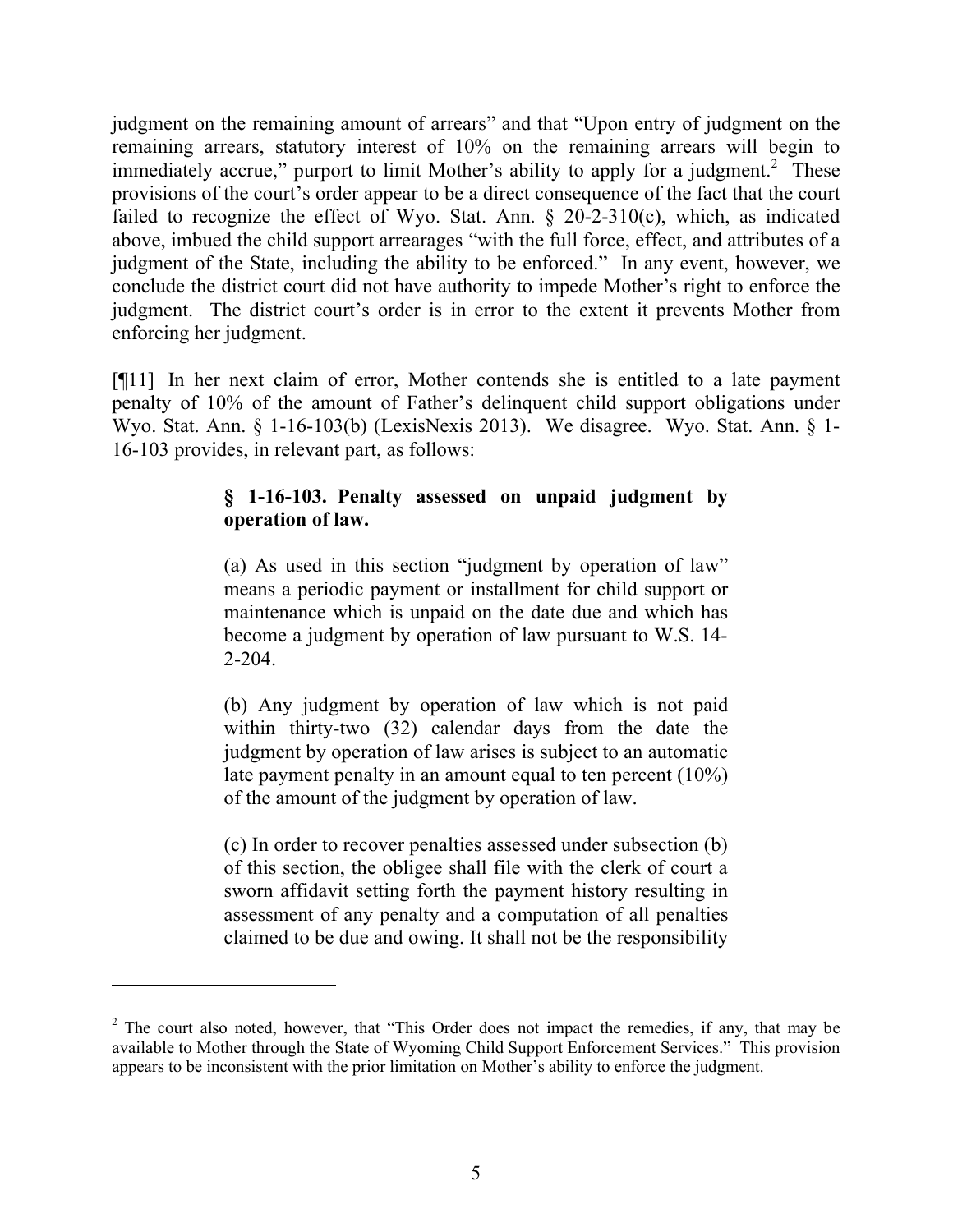judgment on the remaining amount of arrears" and that "Upon entry of judgment on the remaining arrears, statutory interest of 10% on the remaining arrears will begin to immediately accrue," purport to limit Mother's ability to apply for a judgment.<sup>2</sup> These provisions of the court's order appear to be a direct consequence of the fact that the court failed to recognize the effect of Wyo. Stat. Ann. § 20-2-310(c), which, as indicated above, imbued the child support arrearages "with the full force, effect, and attributes of a judgment of the State, including the ability to be enforced." In any event, however, we conclude the district court did not have authority to impede Mother's right to enforce the judgment. The district court's order is in error to the extent it prevents Mother from enforcing her judgment.

[¶11] In her next claim of error, Mother contends she is entitled to a late payment penalty of 10% of the amount of Father's delinquent child support obligations under Wyo. Stat. Ann. § 1-16-103(b) (LexisNexis 2013). We disagree. Wyo. Stat. Ann. § 1- 16-103 provides, in relevant part, as follows:

## **§ 1-16-103. Penalty assessed on unpaid judgment by operation of law.**

(a) As used in this section "judgment by operation of law" means a periodic payment or installment for child support or maintenance which is unpaid on the date due and which has become a judgment by operation of law pursuant to W.S. 14- 2-204.

(b) Any judgment by operation of law which is not paid within thirty-two (32) calendar days from the date the judgment by operation of law arises is subject to an automatic late payment penalty in an amount equal to ten percent (10%) of the amount of the judgment by operation of law.

(c) In order to recover penalties assessed under subsection (b) of this section, the obligee shall file with the clerk of court a sworn affidavit setting forth the payment history resulting in assessment of any penalty and a computation of all penalties claimed to be due and owing. It shall not be the responsibility

 $\overline{a}$ 

 $2$  The court also noted, however, that "This Order does not impact the remedies, if any, that may be available to Mother through the State of Wyoming Child Support Enforcement Services." This provision appears to be inconsistent with the prior limitation on Mother's ability to enforce the judgment.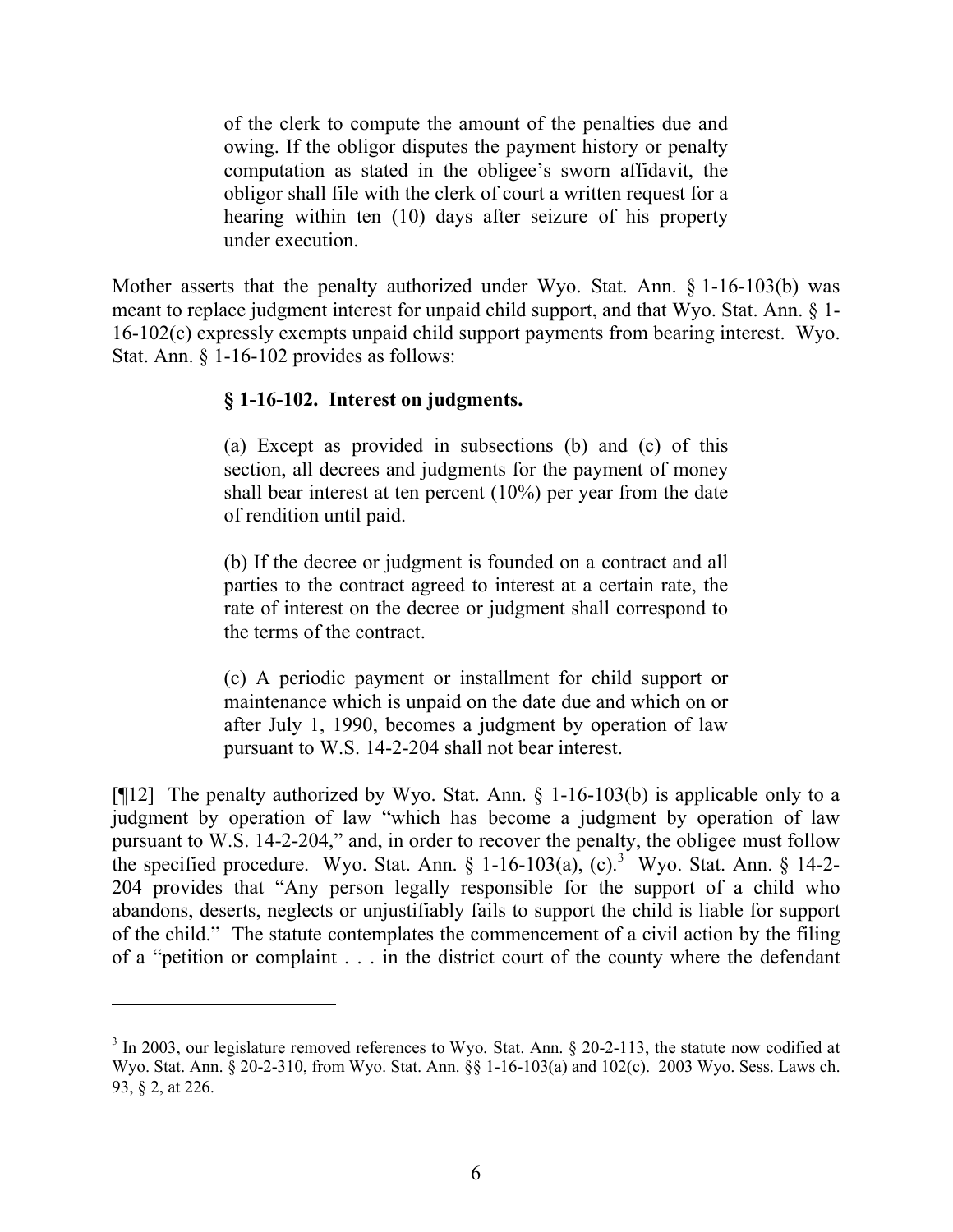of the clerk to compute the amount of the penalties due and owing. If the obligor disputes the payment history or penalty computation as stated in the obligee's sworn affidavit, the obligor shall file with the clerk of court a written request for a hearing within ten (10) days after seizure of his property under execution.

Mother asserts that the penalty authorized under Wyo. Stat. Ann. § 1-16-103(b) was meant to replace judgment interest for unpaid child support, and that Wyo. Stat. Ann. § 1- 16-102(c) expressly exempts unpaid child support payments from bearing interest. Wyo. Stat. Ann. § 1-16-102 provides as follows:

## **§ 1-16-102. Interest on judgments.**

(a) Except as provided in subsections (b) and (c) of this section, all decrees and judgments for the payment of money shall bear interest at ten percent (10%) per year from the date of rendition until paid.

(b) If the decree or judgment is founded on a contract and all parties to the contract agreed to interest at a certain rate, the rate of interest on the decree or judgment shall correspond to the terms of the contract.

(c) A periodic payment or installment for child support or maintenance which is unpaid on the date due and which on or after July 1, 1990, becomes a judgment by operation of law pursuant to W.S. 14-2-204 shall not bear interest.

[¶12] The penalty authorized by Wyo. Stat. Ann. § 1-16-103(b) is applicable only to a judgment by operation of law "which has become a judgment by operation of law pursuant to W.S. 14-2-204," and, in order to recover the penalty, the obligee must follow the specified procedure. Wyo. Stat. Ann.  $\S$  1-16-103(a), (c).<sup>3</sup> Wyo. Stat. Ann.  $\S$  14-2-204 provides that "Any person legally responsible for the support of a child who abandons, deserts, neglects or unjustifiably fails to support the child is liable for support of the child." The statute contemplates the commencement of a civil action by the filing of a "petition or complaint . . . in the district court of the county where the defendant

 $\overline{a}$ 

 $3 \text{ In } 2003$ , our legislature removed references to Wyo. Stat. Ann. § 20-2-113, the statute now codified at Wyo. Stat. Ann. § 20-2-310, from Wyo. Stat. Ann. §§ 1-16-103(a) and 102(c). 2003 Wyo. Sess. Laws ch. 93, § 2, at 226.